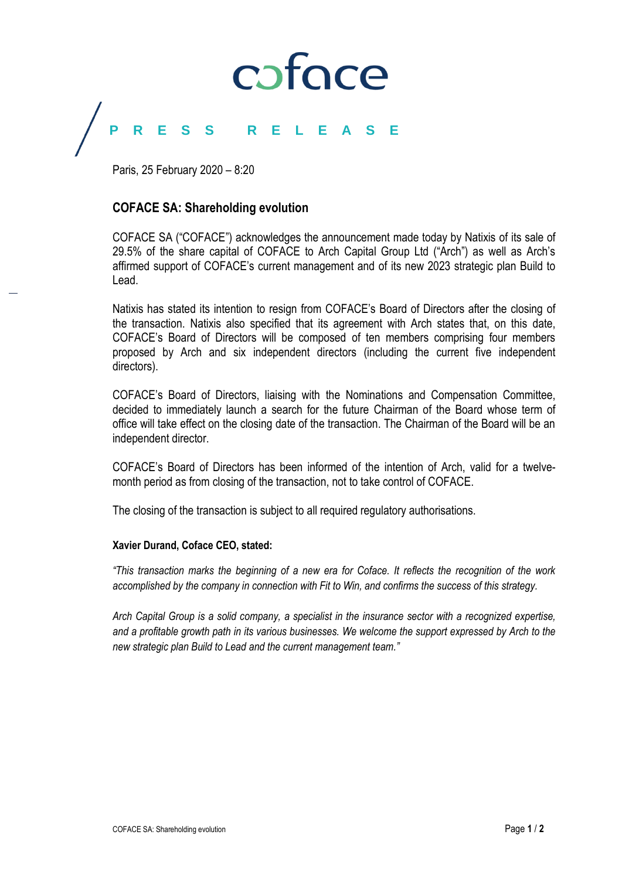# coface

## **PRESS R E L E A S E**

Paris, 25 February 2020 – 8:20

### **COFACE SA: Shareholding evolution**

COFACE SA ("COFACE") acknowledges the announcement made today by Natixis of its sale of 29.5% of the share capital of COFACE to Arch Capital Group Ltd ("Arch") as well as Arch's affirmed support of COFACE's current management and of its new 2023 strategic plan Build to Lead.

Natixis has stated its intention to resign from COFACE's Board of Directors after the closing of the transaction. Natixis also specified that its agreement with Arch states that, on this date, COFACE's Board of Directors will be composed of ten members comprising four members proposed by Arch and six independent directors (including the current five independent directors).

COFACE's Board of Directors, liaising with the Nominations and Compensation Committee, decided to immediately launch a search for the future Chairman of the Board whose term of office will take effect on the closing date of the transaction. The Chairman of the Board will be an independent director.

COFACE's Board of Directors has been informed of the intention of Arch, valid for a twelvemonth period as from closing of the transaction, not to take control of COFACE.

The closing of the transaction is subject to all required regulatory authorisations.

### **Xavier Durand, Coface CEO, stated:**

*"This transaction marks the beginning of a new era for Coface. It reflects the recognition of the work accomplished by the company in connection with Fit to Win, and confirms the success of this strategy.*

*Arch Capital Group is a solid company, a specialist in the insurance sector with a recognized expertise, and a profitable growth path in its various businesses. We welcome the support expressed by Arch to the new strategic plan Build to Lead and the current management team."*